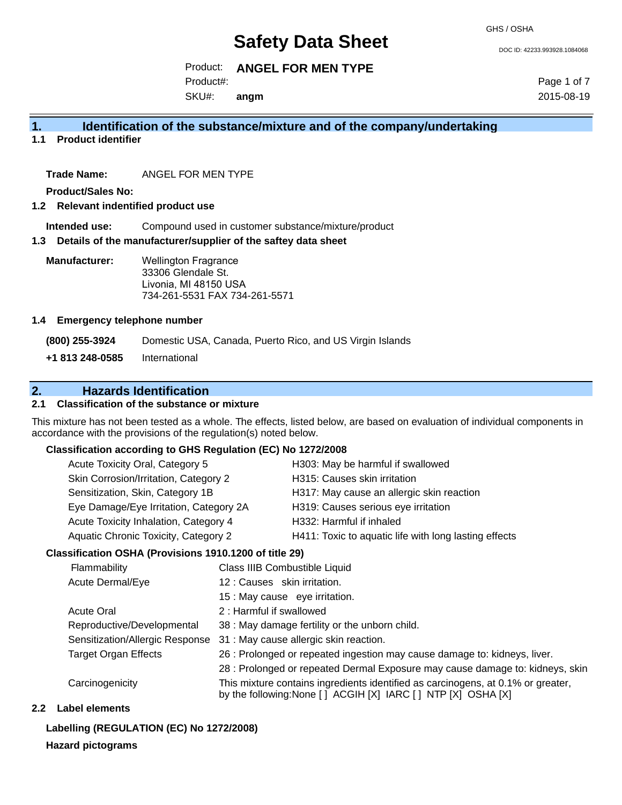GHS / OSHA

DOC ID: 42233.993928.1084068

### Product: **ANGEL FOR MEN TYPE**

Product#:

SKU#: **angm** Page 1 of 7 2015-08-19

## **1. Identification of the substance/mixture and of the company/undertaking**

**1.1 Product identifier**

**Trade Name:** ANGEL FOR MEN TYPE

**Product/Sales No:**

#### **1.2 Relevant indentified product use**

**Intended use:** Compound used in customer substance/mixture/product

#### **1.3 Details of the manufacturer/supplier of the saftey data sheet**

**Manufacturer:** Wellington Fragrance 33306 Glendale St. Livonia, MI 48150 USA 734-261-5531 FAX 734-261-5571

#### **1.4 Emergency telephone number**

**(800) 255-3924** Domestic USA, Canada, Puerto Rico, and US Virgin Islands

**+1 813 248-0585** International

## **2. Hazards Identification**

#### **2.1 Classification of the substance or mixture**

This mixture has not been tested as a whole. The effects, listed below, are based on evaluation of individual components in accordance with the provisions of the regulation(s) noted below.

#### **Classification according to GHS Regulation (EC) No 1272/2008**

| Acute Toxicity Oral, Category 5        | H303: May be harmful if swallowed                     |
|----------------------------------------|-------------------------------------------------------|
| Skin Corrosion/Irritation, Category 2  | H315: Causes skin irritation                          |
| Sensitization, Skin, Category 1B       | H317: May cause an allergic skin reaction             |
| Eye Damage/Eye Irritation, Category 2A | H319: Causes serious eye irritation                   |
| Acute Toxicity Inhalation, Category 4  | H332: Harmful if inhaled                              |
| Aquatic Chronic Toxicity, Category 2   | H411: Toxic to aquatic life with long lasting effects |
|                                        |                                                       |

#### **Classification OSHA (Provisions 1910.1200 of title 29)**

| Flammability                    | Class IIIB Combustible Liquid                                                                                                                      |
|---------------------------------|----------------------------------------------------------------------------------------------------------------------------------------------------|
| Acute Dermal/Eye                | 12: Causes skin irritation.                                                                                                                        |
|                                 | 15 : May cause eye irritation.                                                                                                                     |
| <b>Acute Oral</b>               | 2 : Harmful if swallowed                                                                                                                           |
| Reproductive/Developmental      | 38 : May damage fertility or the unborn child.                                                                                                     |
| Sensitization/Allergic Response | 31 : May cause allergic skin reaction.                                                                                                             |
| <b>Target Organ Effects</b>     | 26 : Prolonged or repeated ingestion may cause damage to: kidneys, liver.                                                                          |
|                                 | 28 : Prolonged or repeated Dermal Exposure may cause damage to: kidneys, skin                                                                      |
| Carcinogenicity                 | This mixture contains ingredients identified as carcinogens, at 0.1% or greater,<br>by the following: None [ ] ACGIH [X] IARC [ ] NTP [X] OSHA [X] |

#### **2.2 Label elements**

## **Labelling (REGULATION (EC) No 1272/2008)**

## **Hazard pictograms**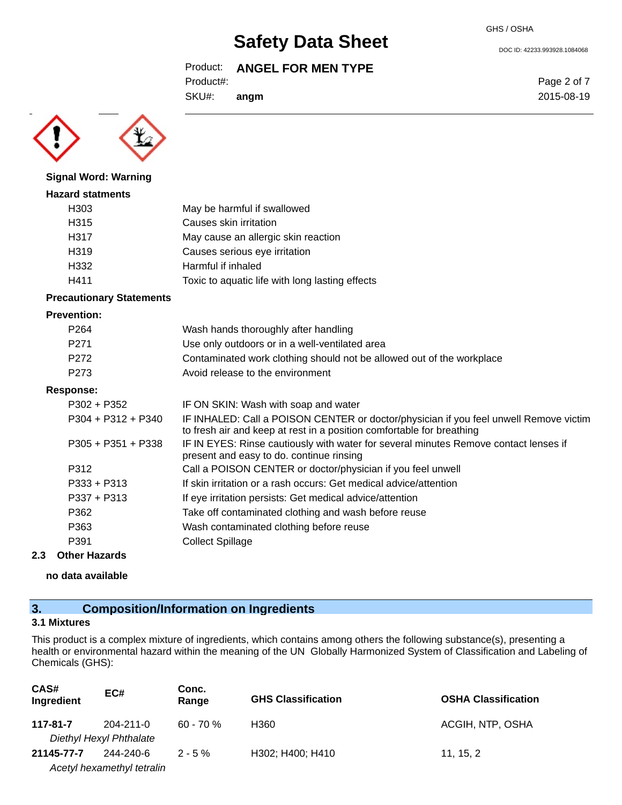#### GHS / OSHA

# **Safety Data Sheet**

## Product: **ANGEL FOR MEN TYPE**

Product#:

SKU#: **angm** Page 2 of 7 2015-08-19

DOC ID: 42233.993928.1084068



#### **Signal Word: Warning**

#### **Hazard statments**

| H <sub>303</sub>  | May be harmful if swallowed                     |
|-------------------|-------------------------------------------------|
| H <sub>315</sub>  | Causes skin irritation                          |
| H317              | May cause an allergic skin reaction             |
| H <sub>3</sub> 19 | Causes serious eye irritation                   |
| H332              | Harmful if inhaled                              |
| H411              | Toxic to aquatic life with long lasting effects |

#### **Precautionary Statements**

#### **Prevention:**

| P <sub>264</sub>     | Wash hands thoroughly after handling                                                                                                                           |
|----------------------|----------------------------------------------------------------------------------------------------------------------------------------------------------------|
| P <sub>271</sub>     | Use only outdoors or in a well-ventilated area                                                                                                                 |
| P <sub>272</sub>     | Contaminated work clothing should not be allowed out of the workplace                                                                                          |
| P <sub>273</sub>     | Avoid release to the environment                                                                                                                               |
| Response:            |                                                                                                                                                                |
| $P302 + P352$        | IF ON SKIN: Wash with soap and water                                                                                                                           |
| $P304 + P312 + P340$ | IF INHALED: Call a POISON CENTER or doctor/physician if you feel unwell Remove victim<br>to fresh air and keep at rest in a position comfortable for breathing |
| $P305 + P351 + P338$ | IF IN EYES: Rinse cautiously with water for several minutes Remove contact lenses if<br>present and easy to do. continue rinsing                               |
| P312                 | Call a POISON CENTER or doctor/physician if you feel unwell                                                                                                    |
| $P333 + P313$        | If skin irritation or a rash occurs: Get medical advice/attention                                                                                              |
| $P337 + P313$        | If eye irritation persists: Get medical advice/attention                                                                                                       |
| P362                 | Take off contaminated clothing and wash before reuse                                                                                                           |
| P363                 | Wash contaminated clothing before reuse                                                                                                                        |
| P391                 | <b>Collect Spillage</b>                                                                                                                                        |

#### **2.3 Other Hazards**

**no data available**

## **3. Composition/Information on Ingredients**

#### **3.1 Mixtures**

This product is a complex mixture of ingredients, which contains among others the following substance(s), presenting a health or environmental hazard within the meaning of the UN Globally Harmonized System of Classification and Labeling of Chemicals (GHS):

| CAS#<br>Ingredient | EC#                        | Conc.<br>Range | <b>GHS Classification</b> | <b>OSHA Classification</b> |
|--------------------|----------------------------|----------------|---------------------------|----------------------------|
| 117-81-7           | $204 - 211 - 0$            | $60 - 70 \%$   | H360                      | ACGIH, NTP, OSHA           |
|                    | Diethyl Hexyl Phthalate    |                |                           |                            |
| 21145-77-7         | 244-240-6                  | $2 - 5 \%$     | H302; H400; H410          | 11, 15, 2                  |
|                    | Acetyl hexamethyl tetralin |                |                           |                            |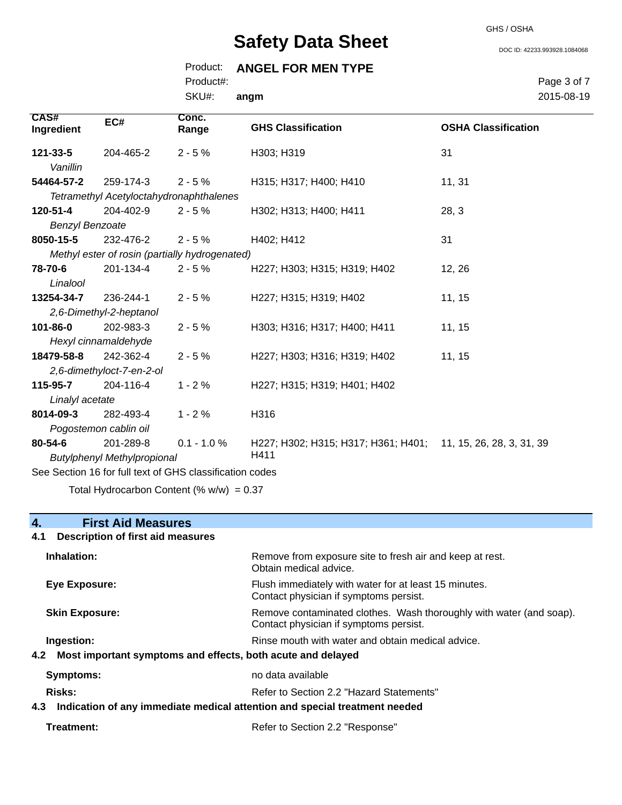GHS / OSHA

DOC ID: 42233.993928.1084068

## Product: **ANGEL FOR MEN TYPE**

Product#:

SKU#: **angm** Page 3 of 7 2015-08-19

| CAS#<br>Ingredient                                       | EC#                     | Conc.<br>Range                                          | <b>GHS Classification</b>                                     | <b>OSHA Classification</b> |
|----------------------------------------------------------|-------------------------|---------------------------------------------------------|---------------------------------------------------------------|----------------------------|
| 121-33-5                                                 | 204-465-2               | $2 - 5%$                                                | H303; H319                                                    | 31                         |
| Vanillin                                                 |                         |                                                         |                                                               |                            |
| 54464-57-2                                               | 259-174-3               | $2 - 5%$                                                | H315; H317; H400; H410                                        | 11, 31                     |
|                                                          |                         | <b>Tetramethyl Acetyloctahydronaphthalenes</b>          |                                                               |                            |
| 120-51-4                                                 | 204-402-9               | $2 - 5%$                                                | H302; H313; H400; H411                                        | 28, 3                      |
| <b>Benzyl Benzoate</b>                                   |                         |                                                         |                                                               |                            |
| 8050-15-5                                                | 232-476-2               | $2 - 5%$                                                | H402; H412                                                    | 31                         |
|                                                          |                         | Methyl ester of rosin (partially hydrogenated)          |                                                               |                            |
| 78-70-6                                                  | 201-134-4               | $2 - 5%$                                                | H227; H303; H315; H319; H402                                  | 12, 26                     |
| Linalool                                                 |                         |                                                         |                                                               |                            |
| 13254-34-7                                               | 236-244-1               | $2 - 5%$                                                | H227; H315; H319; H402                                        | 11, 15                     |
|                                                          | 2,6-Dimethyl-2-heptanol |                                                         |                                                               |                            |
| 101-86-0                                                 | 202-983-3               | $2 - 5%$                                                | H303; H316; H317; H400; H411                                  | 11, 15                     |
|                                                          | Hexyl cinnamaldehyde    |                                                         |                                                               |                            |
| 18479-58-8                                               | 242-362-4               | $2 - 5%$                                                | H227; H303; H316; H319; H402                                  | 11, 15                     |
| 2,6-dimethyloct-7-en-2-ol                                |                         |                                                         |                                                               |                            |
| 115-95-7                                                 | 204-116-4               | $1 - 2%$                                                | H227; H315; H319; H401; H402                                  |                            |
| Linalyl acetate                                          |                         |                                                         |                                                               |                            |
| 8014-09-3                                                | 282-493-4               | $1 - 2%$                                                | H316                                                          |                            |
| Pogostemon cablin oil                                    |                         |                                                         |                                                               |                            |
| 80-54-6                                                  | 201-289-8               | $0.1 - 1.0 \%$                                          | H227; H302; H315; H317; H361; H401; 11, 15, 26, 28, 3, 31, 39 |                            |
| H411<br><b>Butylphenyl Methylpropional</b>               |                         |                                                         |                                                               |                            |
| See Section 16 for full text of GHS classification codes |                         |                                                         |                                                               |                            |
|                                                          |                         | $\sim$ $\sim$ $\sim$ $\sim$ $\sim$ $\sim$ $\sim$ $\sim$ |                                                               |                            |

## Total Hydrocarbon Content (%  $w/w$ ) = 0.37

## **4. First Aid Measures**

## **4.1 Description of first aid measures**

| Inhalation:                                                                       | Remove from exposure site to fresh air and keep at rest.<br>Obtain medical advice.                            |
|-----------------------------------------------------------------------------------|---------------------------------------------------------------------------------------------------------------|
| Eye Exposure:                                                                     | Flush immediately with water for at least 15 minutes.<br>Contact physician if symptoms persist.               |
| <b>Skin Exposure:</b>                                                             | Remove contaminated clothes. Wash thoroughly with water (and soap).<br>Contact physician if symptoms persist. |
| Ingestion:                                                                        | Rinse mouth with water and obtain medical advice.                                                             |
| Most important symptoms and effects, both acute and delayed<br>4.2                |                                                                                                               |
| Symptoms:                                                                         | no data available                                                                                             |
| <b>Risks:</b>                                                                     | Refer to Section 2.2 "Hazard Statements"                                                                      |
| Indication of any immediate medical attention and special treatment needed<br>4.3 |                                                                                                               |

| Treatment: | Refer to Section 2.2 "Response" |
|------------|---------------------------------|
|------------|---------------------------------|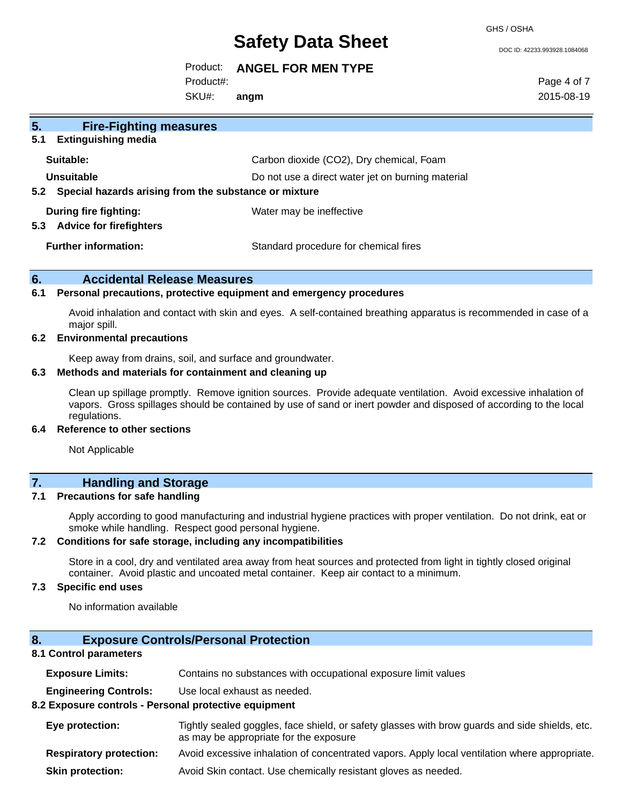GHS / OSHA

DOC ID: 42233.993928.1084068

#### Product: **ANGEL FOR MEN TYPE**

Product#:

SKU#: **angm** Page 4 of 7 2015-08-19

## **5. Fire-Fighting measures 5.1 Extinguishing media Suitable:** Carbon dioxide (CO2), Dry chemical, Foam **Unsuitable** Do not use a direct water jet on burning material **5.2 Special hazards arising from the substance or mixture During fire fighting:** Water may be ineffective **5.3 Advice for firefighters Further information:** Standard procedure for chemical fires

#### **6. Accidental Release Measures**

#### **6.1 Personal precautions, protective equipment and emergency procedures**

Avoid inhalation and contact with skin and eyes. A self-contained breathing apparatus is recommended in case of a major spill.

#### **6.2 Environmental precautions**

Keep away from drains, soil, and surface and groundwater.

#### **6.3 Methods and materials for containment and cleaning up**

Clean up spillage promptly. Remove ignition sources. Provide adequate ventilation. Avoid excessive inhalation of vapors. Gross spillages should be contained by use of sand or inert powder and disposed of according to the local regulations.

#### **6.4 Reference to other sections**

Not Applicable

## **7. Handling and Storage**

#### **7.1 Precautions for safe handling**

Apply according to good manufacturing and industrial hygiene practices with proper ventilation. Do not drink, eat or smoke while handling. Respect good personal hygiene.

#### **7.2 Conditions for safe storage, including any incompatibilities**

Store in a cool, dry and ventilated area away from heat sources and protected from light in tightly closed original container. Avoid plastic and uncoated metal container. Keep air contact to a minimum.

### **7.3 Specific end uses**

No information available

## **8. Exposure Controls/Personal Protection**

### **8.1 Control parameters**

| <b>Exposure Limits:</b>        | Contains no substances with occupational exposure limit values                                                                           |  |
|--------------------------------|------------------------------------------------------------------------------------------------------------------------------------------|--|
| <b>Engineering Controls:</b>   | Use local exhaust as needed.                                                                                                             |  |
|                                | 8.2 Exposure controls - Personal protective equipment                                                                                    |  |
| Eye protection:                | Tightly sealed goggles, face shield, or safety glasses with brow guards and side shields, etc.<br>as may be appropriate for the exposure |  |
| <b>Respiratory protection:</b> | Avoid excessive inhalation of concentrated vapors. Apply local ventilation where appropriate.                                            |  |
| <b>Skin protection:</b>        | Avoid Skin contact. Use chemically resistant gloves as needed.                                                                           |  |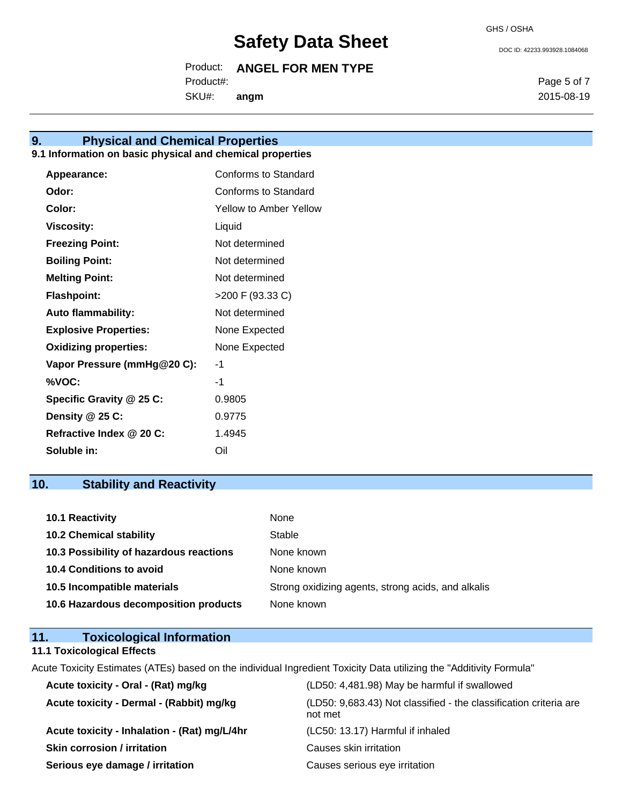Product: **ANGEL FOR MEN TYPE**

Product#:

SKU#: **angm**

## **9. Physical and Chemical Properties**

#### **9.1 Information on basic physical and chemical properties**

| Appearance:                  | Conforms to Standard   |
|------------------------------|------------------------|
| Odor:                        | Conforms to Standard   |
| Color:                       | Yellow to Amber Yellow |
| Viscosity:                   | Liquid                 |
| <b>Freezing Point:</b>       | Not determined         |
| <b>Boiling Point:</b>        | Not determined         |
| <b>Melting Point:</b>        | Not determined         |
| <b>Flashpoint:</b>           | >200 F (93.33 C)       |
| <b>Auto flammability:</b>    | Not determined         |
| <b>Explosive Properties:</b> | None Expected          |
| <b>Oxidizing properties:</b> | None Expected          |
| Vapor Pressure (mmHg@20 C):  | -1                     |
| %VOC:                        | -1                     |
| Specific Gravity @ 25 C:     | 0.9805                 |
| Density @ 25 C:              | 0.9775                 |
| Refractive Index @ 20 C:     | 1.4945                 |
| Soluble in:                  | Oil                    |

## **10. Stability and Reactivity**

| <b>10.1 Reactivity</b>                  | None                                               |
|-----------------------------------------|----------------------------------------------------|
| <b>10.2 Chemical stability</b>          | Stable                                             |
| 10.3 Possibility of hazardous reactions | None known                                         |
| <b>10.4 Conditions to avoid</b>         | None known                                         |
| 10.5 Incompatible materials             | Strong oxidizing agents, strong acids, and alkalis |
| 10.6 Hazardous decomposition products   | None known                                         |

## **11. Toxicological Information**

## **11.1 Toxicological Effects**

Acute Toxicity Estimates (ATEs) based on the individual Ingredient Toxicity Data utilizing the "Additivity Formula"

| Acute toxicity - Oral - (Rat) mg/kg          | (LD50: 4,481.98) May be harmful if swallowed                                 |
|----------------------------------------------|------------------------------------------------------------------------------|
| Acute toxicity - Dermal - (Rabbit) mg/kg     | (LD50: 9,683.43) Not classified - the classification criteria are<br>not met |
| Acute toxicity - Inhalation - (Rat) mg/L/4hr | (LC50: 13.17) Harmful if inhaled                                             |
| <b>Skin corrosion / irritation</b>           | Causes skin irritation                                                       |
| Serious eye damage / irritation              | Causes serious eye irritation                                                |

DOC ID: 42233.993928.1084068

Page 5 of 7 2015-08-19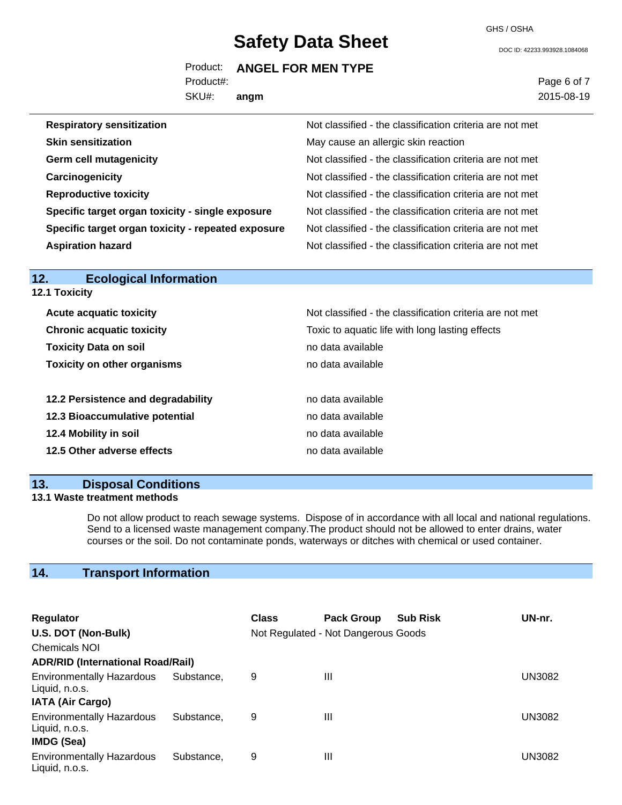GHS / OSHA

DOC ID: 42233.993928.1084068

### Product: **ANGEL FOR MEN TYPE**

Product#:

SKU#: **angm** Page 6 of 7 2015-08-19

| <b>Respiratory sensitization</b>                   | Not classified - the classification criteria are not met |
|----------------------------------------------------|----------------------------------------------------------|
| <b>Skin sensitization</b>                          | May cause an allergic skin reaction                      |
| <b>Germ cell mutagenicity</b>                      | Not classified - the classification criteria are not met |
| Carcinogenicity                                    | Not classified - the classification criteria are not met |
| <b>Reproductive toxicity</b>                       | Not classified - the classification criteria are not met |
| Specific target organ toxicity - single exposure   | Not classified - the classification criteria are not met |
| Specific target organ toxicity - repeated exposure | Not classified - the classification criteria are not met |
| <b>Aspiration hazard</b>                           | Not classified - the classification criteria are not met |

| <b>12.1 Toxicity</b>               |                                                          |  |  |  |
|------------------------------------|----------------------------------------------------------|--|--|--|
| <b>Acute acquatic toxicity</b>     | Not classified - the classification criteria are not met |  |  |  |
| <b>Chronic acquatic toxicity</b>   | Toxic to aquatic life with long lasting effects          |  |  |  |
| <b>Toxicity Data on soil</b>       | no data available                                        |  |  |  |
| <b>Toxicity on other organisms</b> | no data available                                        |  |  |  |
| 12.2 Persistence and degradability | no data available                                        |  |  |  |
| 12.3 Bioaccumulative potential     | no data available                                        |  |  |  |
| 12.4 Mobility in soil              | no data available                                        |  |  |  |
| 12.5 Other adverse effects         | no data available                                        |  |  |  |

## **13. Disposal Conditions**

**12. Ecological Information**

## **13.1 Waste treatment methods**

Do not allow product to reach sewage systems. Dispose of in accordance with all local and national regulations. Send to a licensed waste management company.The product should not be allowed to enter drains, water courses or the soil. Do not contaminate ponds, waterways or ditches with chemical or used container.

## **14. Transport Information**

| <b>Regulator</b>                                                              |            | <b>Class</b> | <b>Pack Group</b>                   | <b>Sub Risk</b> | UN-nr.        |
|-------------------------------------------------------------------------------|------------|--------------|-------------------------------------|-----------------|---------------|
| U.S. DOT (Non-Bulk)                                                           |            |              | Not Regulated - Not Dangerous Goods |                 |               |
| <b>Chemicals NOI</b>                                                          |            |              |                                     |                 |               |
| <b>ADR/RID (International Road/Rail)</b>                                      |            |              |                                     |                 |               |
| <b>Environmentally Hazardous</b><br>Liquid, n.o.s.<br><b>IATA (Air Cargo)</b> | Substance. | 9            | Ш                                   |                 | <b>UN3082</b> |
| <b>Environmentally Hazardous</b><br>Liquid, n.o.s.<br><b>IMDG (Sea)</b>       | Substance, | 9            | Ш                                   |                 | UN3082        |
| <b>Environmentally Hazardous</b><br>Liquid, n.o.s.                            | Substance. | 9            | Ш                                   |                 | UN3082        |